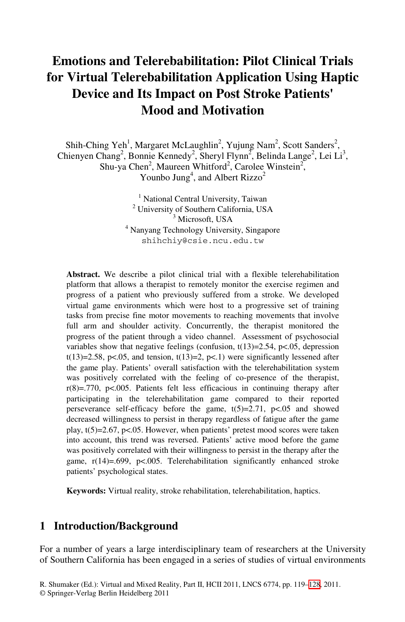# **Emotions and Telerebabilitation: Pilot Clinical Trials for Virtual Telerebabilitation Application Using Haptic Device and Its Impact on Post Stroke Patients' Mood and Motivation**

Shih-Ching Yeh<sup>1</sup>, Margaret McLaughlin<sup>2</sup>, Yujung Nam<sup>2</sup>, Scott Sanders<sup>2</sup>, Chienyen Chang<sup>2</sup>, Bonnie Kennedy<sup>2</sup>, Sheryl Flynn<sup>2</sup>, Belinda Lange<sup>2</sup>, Lei Li<sup>3</sup>, Shu-ya Chen<sup>2</sup>, Maureen Whitford<sup>2</sup>, Carolee Winstein<sup>2</sup>, Younbo Jung<sup>4</sup>, and Albert Rizzo<sup>2</sup>

> <sup>1</sup> National Central University, Taiwan<br><sup>2</sup> University of Southern California US  $^{2}$  University of Southern California, USA  $^{3}$  Microsoft, USA <sup>3</sup> Microsoft, USA<br><sup>4</sup> Nanyang Technology University, Singapore shihchiy@csie.ncu.edu.tw

**Abstract.** We describe a pilot clinical trial with a flexible telerehabilitation platform that allows a therapist to remotely monitor the exercise regimen and progress of a patient who previously suffered from a stroke. We developed virtual game environments which were host to a progressive set of training tasks from precise fine motor movements to reaching movements that involve full arm and shoulder activity. Concurrently, the therapist monitored the progress of the patient through a video channel. Assessment of psychosocial variables show that negative feelings (confusion,  $t(13)=2.54$ ,  $p<.05$ , depression t(13)=2.58, p<.05, and tension, t(13)=2, p<.1) were significantly lessened after the game play. Patients' overall satisfaction with the telerehabilitation system was positively correlated with the feeling of co-presence of the therapist,  $r(8) = .770$ ,  $p < .005$ . Patients felt less efficacious in continuing therapy after participating in the telerehabilitation game compared to their reported perseverance self-efficacy before the game,  $t(5)=2.71$ ,  $p<.05$  and showed decreased willingness to persist in therapy regardless of fatigue after the game play, t(5)=2.67, p<.05. However, when patients' pretest mood scores were taken into account, this trend was reversed. Patients' active mood before the game was positively correlated with their willingness to persist in the therapy after the game,  $r(14)=0.699$ ,  $p<0.005$ . Telerehabilitation significantly enhanced stroke patients' psychological states.

**Keywords:** Virtual reality, stroke rehabilitation, [tele](#page-9-0)rehabilitation, haptics.

#### **1 Introduction/Background**

For a number of years a large interdisciplinary team of researchers at the University of Southern California has been engaged in a series of studies of virtual environments

R. Shumaker (Ed.): Virtual and Mixed Reality, Part II, HCII 2011, LNCS 6774, pp. 119–128, 2011. © Springer-Verlag Berlin Heidelberg 2011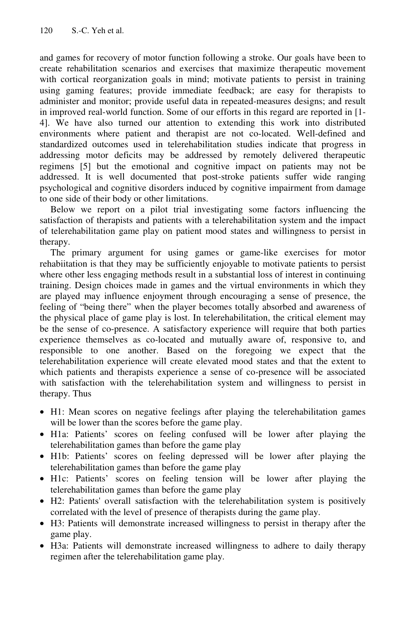and games for recovery of motor function following a stroke. Our goals have been to create rehabilitation scenarios and exercises that maximize therapeutic movement with cortical reorganization goals in mind; motivate patients to persist in training using gaming features; provide immediate feedback; are easy for therapists to administer and monitor; provide useful data in repeated-measures designs; and result in improved real-world function. Some of our efforts in this regard are reported in [1- 4]. We have also turned our attention to extending this work into distributed environments where patient and therapist are not co-located. Well-defined and standardized outcomes used in telerehabilitation studies indicate that progress in addressing motor deficits may be addressed by remotely delivered therapeutic regimens [5] but the emotional and cognitive impact on patients may not be addressed. It is well documented that post-stroke patients suffer wide ranging psychological and cognitive disorders induced by cognitive impairment from damage to one side of their body or other limitations.

Below we report on a pilot trial investigating some factors influencing the satisfaction of therapists and patients with a telerehabilitation system and the impact of telerehabilitation game play on patient mood states and willingness to persist in therapy.

The primary argument for using games or game-like exercises for motor rehabiitation is that they may be sufficiently enjoyable to motivate patients to persist where other less engaging methods result in a substantial loss of interest in continuing training. Design choices made in games and the virtual environments in which they are played may influence enjoyment through encouraging a sense of presence, the feeling of "being there" when the player becomes totally absorbed and awareness of the physical place of game play is lost. In telerehabilitation, the critical element may be the sense of co-presence. A satisfactory experience will require that both parties experience themselves as co-located and mutually aware of, responsive to, and responsible to one another. Based on the foregoing we expect that the telerehabilitation experience will create elevated mood states and that the extent to which patients and therapists experience a sense of co-presence will be associated with satisfaction with the telerehabilitation system and willingness to persist in therapy. Thus

- H1: Mean scores on negative feelings after playing the telerehabilitation games will be lower than the scores before the game play.
- H1a: Patients' scores on feeling confused will be lower after playing the telerehabilitation games than before the game play
- H1b: Patients' scores on feeling depressed will be lower after playing the telerehabilitation games than before the game play
- H1c: Patients' scores on feeling tension will be lower after playing the telerehabilitation games than before the game play
- H2: Patients' overall satisfaction with the telerehabilitation system is positively correlated with the level of presence of therapists during the game play.
- H3: Patients will demonstrate increased willingness to persist in therapy after the game play.
- H3a: Patients will demonstrate increased willingness to adhere to daily therapy regimen after the telerehabilitation game play.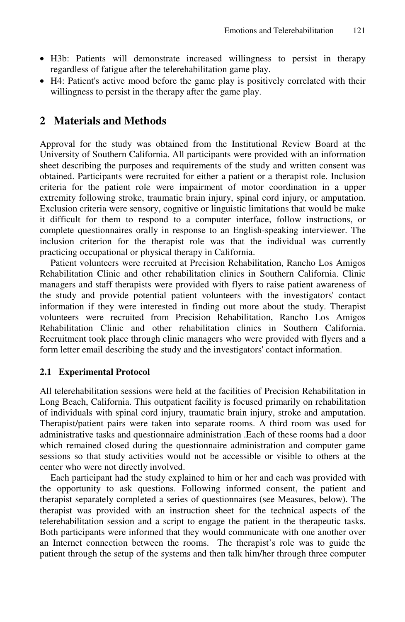- H3b: Patients will demonstrate increased willingness to persist in therapy regardless of fatigue after the telerehabilitation game play.
- H4: Patient's active mood before the game play is positively correlated with their willingness to persist in the therapy after the game play.

# **2 Materials and Methods**

Approval for the study was obtained from the Institutional Review Board at the University of Southern California. All participants were provided with an information sheet describing the purposes and requirements of the study and written consent was obtained. Participants were recruited for either a patient or a therapist role. Inclusion criteria for the patient role were impairment of motor coordination in a upper extremity following stroke, traumatic brain injury, spinal cord injury, or amputation. Exclusion criteria were sensory, cognitive or linguistic limitations that would be make it difficult for them to respond to a computer interface, follow instructions, or complete questionnaires orally in response to an English-speaking interviewer. The inclusion criterion for the therapist role was that the individual was currently practicing occupational or physical therapy in California.

Patient volunteers were recruited at Precision Rehabilitation, Rancho Los Amigos Rehabilitation Clinic and other rehabilitation clinics in Southern California. Clinic managers and staff therapists were provided with flyers to raise patient awareness of the study and provide potential patient volunteers with the investigators' contact information if they were interested in finding out more about the study. Therapist volunteers were recruited from Precision Rehabilitation, Rancho Los Amigos Rehabilitation Clinic and other rehabilitation clinics in Southern California. Recruitment took place through clinic managers who were provided with flyers and a form letter email describing the study and the investigators' contact information.

### **2.1 Experimental Protocol**

All telerehabilitation sessions were held at the facilities of Precision Rehabilitation in Long Beach, California. This outpatient facility is focused primarily on rehabilitation of individuals with spinal cord injury, traumatic brain injury, stroke and amputation. Therapist/patient pairs were taken into separate rooms. A third room was used for administrative tasks and questionnaire administration .Each of these rooms had a door which remained closed during the questionnaire administration and computer game sessions so that study activities would not be accessible or visible to others at the center who were not directly involved.

Each participant had the study explained to him or her and each was provided with the opportunity to ask questions. Following informed consent, the patient and therapist separately completed a series of questionnaires (see Measures, below). The therapist was provided with an instruction sheet for the technical aspects of the telerehabilitation session and a script to engage the patient in the therapeutic tasks. Both participants were informed that they would communicate with one another over an Internet connection between the rooms. The therapist's role was to guide the patient through the setup of the systems and then talk him/her through three computer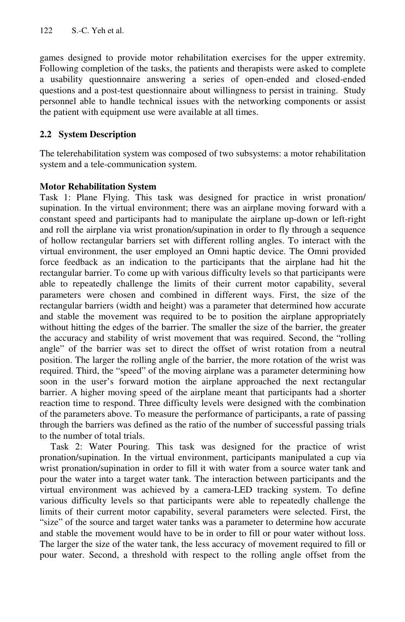games designed to provide motor rehabilitation exercises for the upper extremity. Following completion of the tasks, the patients and therapists were asked to complete a usability questionnaire answering a series of open-ended and closed-ended questions and a post-test questionnaire about willingness to persist in training. Study personnel able to handle technical issues with the networking components or assist the patient with equipment use were available at all times.

## **2.2 System Description**

The telerehabilitation system was composed of two subsystems: a motor rehabilitation system and a tele-communication system.

### **Motor Rehabilitation System**

Task 1: Plane Flying. This task was designed for practice in wrist pronation/ supination. In the virtual environment; there was an airplane moving forward with a constant speed and participants had to manipulate the airplane up-down or left-right and roll the airplane via wrist pronation/supination in order to fly through a sequence of hollow rectangular barriers set with different rolling angles. To interact with the virtual environment, the user employed an Omni haptic device. The Omni provided force feedback as an indication to the participants that the airplane had hit the rectangular barrier. To come up with various difficulty levels so that participants were able to repeatedly challenge the limits of their current motor capability, several parameters were chosen and combined in different ways. First, the size of the rectangular barriers (width and height) was a parameter that determined how accurate and stable the movement was required to be to position the airplane appropriately without hitting the edges of the barrier. The smaller the size of the barrier, the greater the accuracy and stability of wrist movement that was required. Second, the "rolling angle" of the barrier was set to direct the offset of wrist rotation from a neutral position. The larger the rolling angle of the barrier, the more rotation of the wrist was required. Third, the "speed" of the moving airplane was a parameter determining how soon in the user's forward motion the airplane approached the next rectangular barrier. A higher moving speed of the airplane meant that participants had a shorter reaction time to respond. Three difficulty levels were designed with the combination of the parameters above. To measure the performance of participants, a rate of passing through the barriers was defined as the ratio of the number of successful passing trials to the number of total trials.

Task 2: Water Pouring. This task was designed for the practice of wrist pronation/supination. In the virtual environment, participants manipulated a cup via wrist pronation/supination in order to fill it with water from a source water tank and pour the water into a target water tank. The interaction between participants and the virtual environment was achieved by a camera-LED tracking system. To define various difficulty levels so that participants were able to repeatedly challenge the limits of their current motor capability, several parameters were selected. First, the "size" of the source and target water tanks was a parameter to determine how accurate and stable the movement would have to be in order to fill or pour water without loss. The larger the size of the water tank, the less accuracy of movement required to fill or pour water. Second, a threshold with respect to the rolling angle offset from the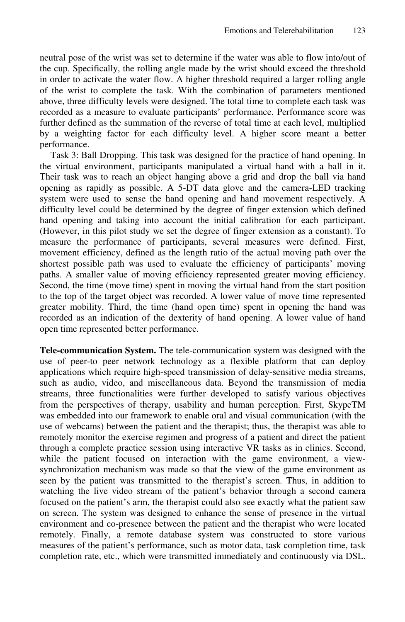neutral pose of the wrist was set to determine if the water was able to flow into/out of the cup. Specifically, the rolling angle made by the wrist should exceed the threshold in order to activate the water flow. A higher threshold required a larger rolling angle of the wrist to complete the task. With the combination of parameters mentioned above, three difficulty levels were designed. The total time to complete each task was recorded as a measure to evaluate participants' performance. Performance score was further defined as the summation of the reverse of total time at each level, multiplied by a weighting factor for each difficulty level. A higher score meant a better performance.

Task 3: Ball Dropping. This task was designed for the practice of hand opening. In the virtual environment, participants manipulated a virtual hand with a ball in it. Their task was to reach an object hanging above a grid and drop the ball via hand opening as rapidly as possible. A 5-DT data glove and the camera-LED tracking system were used to sense the hand opening and hand movement respectively. A difficulty level could be determined by the degree of finger extension which defined hand opening and taking into account the initial calibration for each participant. (However, in this pilot study we set the degree of finger extension as a constant). To measure the performance of participants, several measures were defined. First, movement efficiency, defined as the length ratio of the actual moving path over the shortest possible path was used to evaluate the efficiency of participants' moving paths. A smaller value of moving efficiency represented greater moving efficiency. Second, the time (move time) spent in moving the virtual hand from the start position to the top of the target object was recorded. A lower value of move time represented greater mobility. Third, the time (hand open time) spent in opening the hand was recorded as an indication of the dexterity of hand opening. A lower value of hand open time represented better performance.

**Tele-communication System.** The tele-communication system was designed with the use of peer-to peer network technology as a flexible platform that can deploy applications which require high-speed transmission of delay-sensitive media streams, such as audio, video, and miscellaneous data. Beyond the transmission of media streams, three functionalities were further developed to satisfy various objectives from the perspectives of therapy, usability and human perception. First, SkypeTM was embedded into our framework to enable oral and visual communication (with the use of webcams) between the patient and the therapist; thus, the therapist was able to remotely monitor the exercise regimen and progress of a patient and direct the patient through a complete practice session using interactive VR tasks as in clinics. Second, while the patient focused on interaction with the game environment, a viewsynchronization mechanism was made so that the view of the game environment as seen by the patient was transmitted to the therapist's screen. Thus, in addition to watching the live video stream of the patient's behavior through a second camera focused on the patient's arm, the therapist could also see exactly what the patient saw on screen. The system was designed to enhance the sense of presence in the virtual environment and co-presence between the patient and the therapist who were located remotely. Finally, a remote database system was constructed to store various measures of the patient's performance, such as motor data, task completion time, task completion rate, etc., which were transmitted immediately and continuously via DSL.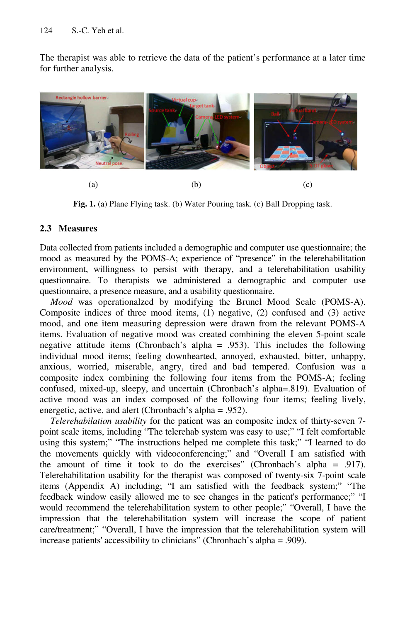The therapist was able to retrieve the data of the patient's performance at a later time for further analysis.



**Fig. 1.** (a) Plane Flying task. (b) Water Pouring task. (c) Ball Dropping task.

#### **2.3 Measures**

Data collected from patients included a demographic and computer use questionnaire; the mood as measured by the POMS-A; experience of "presence" in the telerehabilitation environment, willingness to persist with therapy, and a telerehabilitation usability questionnaire. To therapists we administered a demographic and computer use questionnaire, a presence measure, and a usability questionnaire.

*Mood* was operationalzed by modifying the Brunel Mood Scale (POMS-A). Composite indices of three mood items, (1) negative, (2) confused and (3) active mood, and one item measuring depression were drawn from the relevant POMS-A items. Evaluation of negative mood was created combining the eleven 5-point scale negative attitude items (Chronbach's alpha = .953). This includes the following individual mood items; feeling downhearted, annoyed, exhausted, bitter, unhappy, anxious, worried, miserable, angry, tired and bad tempered. Confusion was a composite index combining the following four items from the POMS-A; feeling confused, mixed-up, sleepy, and uncertain (Chronbach's alpha=.819). Evaluation of active mood was an index composed of the following four items; feeling lively, energetic, active, and alert (Chronbach's alpha = .952).

*Telerehabilation usability* for the patient was an composite index of thirty-seven 7 point scale items, including "The telerehab system was easy to use;" "I felt comfortable using this system;" "The instructions helped me complete this task;" "I learned to do the movements quickly with videoconferencing;" and "Overall I am satisfied with the amount of time it took to do the exercises" (Chronbach's alpha = .917). Telerehabilitation usability for the therapist was composed of twenty-six 7-point scale items (Appendix A) including; "I am satisfied with the feedback system;" "The feedback window easily allowed me to see changes in the patient's performance;" "I would recommend the telerehabilitation system to other people;" "Overall, I have the impression that the telerehabilitation system will increase the scope of patient care/treatment;" "Overall, I have the impression that the telerehabilitation system will increase patients' accessibility to clinicians" (Chronbach's alpha = .909).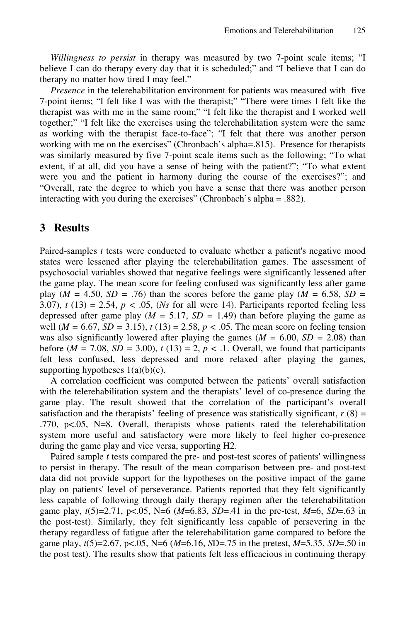*Willingness to persist* in therapy was measured by two 7-point scale items; "I believe I can do therapy every day that it is scheduled;" and "I believe that I can do therapy no matter how tired I may feel."

*Presence* in the telerehabilitation environment for patients was measured with five 7-point items; "I felt like I was with the therapist;" "There were times I felt like the therapist was with me in the same room;" "I felt like the therapist and I worked well together;" "I felt like the exercises using the telerehabilitation system were the same as working with the therapist face-to-face"; "I felt that there was another person working with me on the exercises" (Chronbach's alpha=.815). Presence for therapists was similarly measured by five 7-point scale items such as the following; "To what extent, if at all, did you have a sense of being with the patient?"; "To what extent were you and the patient in harmony during the course of the exercises?"; and "Overall, rate the degree to which you have a sense that there was another person interacting with you during the exercises" (Chronbach's alpha = .882).

### **3 Results**

Paired-samples *t* tests were conducted to evaluate whether a patient's negative mood states were lessened after playing the telerehabilitation games. The assessment of psychosocial variables showed that negative feelings were significantly lessened after the game play. The mean score for feeling confused was significantly less after game play ( $M = 4.50$ ,  $SD = .76$ ) than the scores before the game play ( $M = 6.58$ ,  $SD =$ 3.07),  $t(13) = 2.54$ ,  $p < .05$ , (*Ns* for all were 14). Participants reported feeling less depressed after game play ( $M = 5.17$ ,  $SD = 1.49$ ) than before playing the game as well ( $M = 6.67$ ,  $SD = 3.15$ ),  $t(13) = 2.58$ ,  $p < .05$ . The mean score on feeling tension was also significantly lowered after playing the games ( $M = 6.00$ ,  $SD = 2.08$ ) than before ( $M = 7.08$ ,  $SD = 3.00$ ),  $t(13) = 2$ ,  $p < 1$ . Overall, we found that participants felt less confused, less depressed and more relaxed after playing the games, supporting hypotheses  $1(a)(b)(c)$ .

A correlation coefficient was computed between the patients' overall satisfaction with the telerehabilitation system and the therapists' level of co-presence during the game play. The result showed that the correlation of the participant's overall satisfaction and the therapists' feeling of presence was statistically significant,  $r(8) =$ .770, p<.05, N=8. Overall, therapists whose patients rated the telerehabilitation system more useful and satisfactory were more likely to feel higher co-presence during the game play and vice versa, supporting H2.

Paired sample *t* tests compared the pre- and post-test scores of patients' willingness to persist in therapy. The result of the mean comparison between pre- and post-test data did not provide support for the hypotheses on the positive impact of the game play on patients' level of perseverance. Patients reported that they felt significantly less capable of following through daily therapy regimen after the telerehabilitation game play,  $t(5)=2.71$ ,  $p<0.05$ ,  $N=6$  ( $M=6.83$ ,  $SD=.41$  in the pre-test,  $M=6$ ,  $SD=.63$  in the post-test). Similarly, they felt significantly less capable of persevering in the therapy regardless of fatigue after the telerehabilitation game compared to before the game play, *t*(5)=2.67, p<.05, N=6 (*M*=6.16, *S*D=.75 in the pretest, *M*=5.35, *SD*=.50 in the post test). The results show that patients felt less efficacious in continuing therapy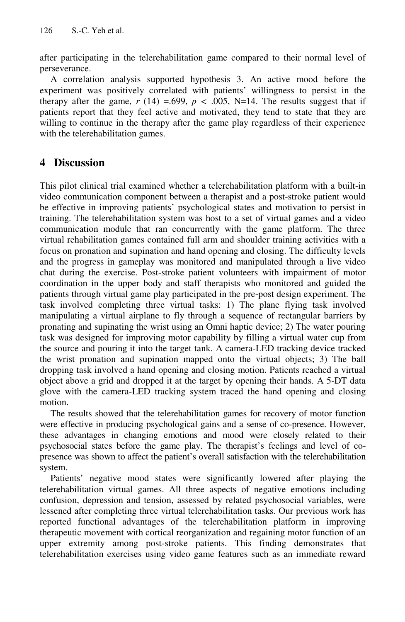after participating in the telerehabilitation game compared to their normal level of perseverance.

A correlation analysis supported hypothesis 3. An active mood before the experiment was positively correlated with patients' willingness to persist in the therapy after the game,  $r(14) = .699$ ,  $p < .005$ , N=14. The results suggest that if patients report that they feel active and motivated, they tend to state that they are willing to continue in the therapy after the game play regardless of their experience with the telerehabilitation games.

# **4 Discussion**

This pilot clinical trial examined whether a telerehabilitation platform with a built-in video communication component between a therapist and a post-stroke patient would be effective in improving patients' psychological states and motivation to persist in training. The telerehabilitation system was host to a set of virtual games and a video communication module that ran concurrently with the game platform. The three virtual rehabilitation games contained full arm and shoulder training activities with a focus on pronation and supination and hand opening and closing. The difficulty levels and the progress in gameplay was monitored and manipulated through a live video chat during the exercise. Post-stroke patient volunteers with impairment of motor coordination in the upper body and staff therapists who monitored and guided the patients through virtual game play participated in the pre-post design experiment. The task involved completing three virtual tasks: 1) The plane flying task involved manipulating a virtual airplane to fly through a sequence of rectangular barriers by pronating and supinating the wrist using an Omni haptic device; 2) The water pouring task was designed for improving motor capability by filling a virtual water cup from the source and pouring it into the target tank. A camera-LED tracking device tracked the wrist pronation and supination mapped onto the virtual objects; 3) The ball dropping task involved a hand opening and closing motion. Patients reached a virtual object above a grid and dropped it at the target by opening their hands. A 5-DT data glove with the camera-LED tracking system traced the hand opening and closing motion.

The results showed that the telerehabilitation games for recovery of motor function were effective in producing psychological gains and a sense of co-presence. However, these advantages in changing emotions and mood were closely related to their psychosocial states before the game play. The therapist's feelings and level of copresence was shown to affect the patient's overall satisfaction with the telerehabilitation system.

Patients' negative mood states were significantly lowered after playing the telerehabilitation virtual games. All three aspects of negative emotions including confusion, depression and tension, assessed by related psychosocial variables, were lessened after completing three virtual telerehabilitation tasks. Our previous work has reported functional advantages of the telerehabilitation platform in improving therapeutic movement with cortical reorganization and regaining motor function of an upper extremity among post-stroke patients. This finding demonstrates that telerehabilitation exercises using video game features such as an immediate reward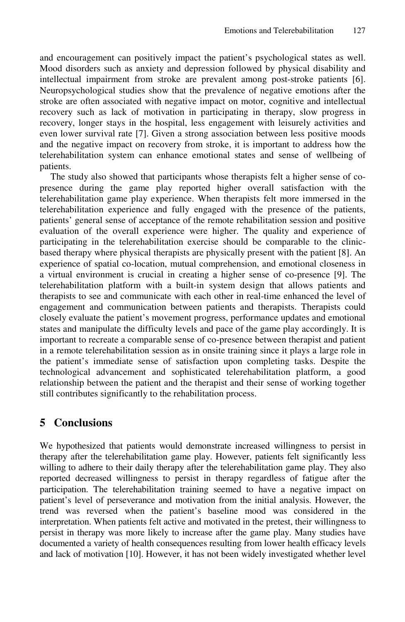and encouragement can positively impact the patient's psychological states as well. Mood disorders such as anxiety and depression followed by physical disability and intellectual impairment from stroke are prevalent among post-stroke patients [6]. Neuropsychological studies show that the prevalence of negative emotions after the stroke are often associated with negative impact on motor, cognitive and intellectual recovery such as lack of motivation in participating in therapy, slow progress in recovery, longer stays in the hospital, less engagement with leisurely activities and even lower survival rate [7]. Given a strong association between less positive moods and the negative impact on recovery from stroke, it is important to address how the telerehabilitation system can enhance emotional states and sense of wellbeing of patients.

The study also showed that participants whose therapists felt a higher sense of copresence during the game play reported higher overall satisfaction with the telerehabilitation game play experience. When therapists felt more immersed in the telerehabilitation experience and fully engaged with the presence of the patients, patients' general sense of acceptance of the remote rehabilitation session and positive evaluation of the overall experience were higher. The quality and experience of participating in the telerehabilitation exercise should be comparable to the clinicbased therapy where physical therapists are physically present with the patient [8]. An experience of spatial co-location, mutual comprehension, and emotional closeness in a virtual environment is crucial in creating a higher sense of co-presence [9]. The telerehabilitation platform with a built-in system design that allows patients and therapists to see and communicate with each other in real-time enhanced the level of engagement and communication between patients and therapists. Therapists could closely evaluate the patient's movement progress, performance updates and emotional states and manipulate the difficulty levels and pace of the game play accordingly. It is important to recreate a comparable sense of co-presence between therapist and patient in a remote telerehabilitation session as in onsite training since it plays a large role in the patient's immediate sense of satisfaction upon completing tasks. Despite the technological advancement and sophisticated telerehabilitation platform, a good relationship between the patient and the therapist and their sense of working together still contributes significantly to the rehabilitation process.

# **5 Conclusions**

We hypothesized that patients would demonstrate increased willingness to persist in therapy after the telerehabilitation game play. However, patients felt significantly less willing to adhere to their daily therapy after the telerehabilitation game play. They also reported decreased willingness to persist in therapy regardless of fatigue after the participation. The telerehabilitation training seemed to have a negative impact on patient's level of perseverance and motivation from the initial analysis. However, the trend was reversed when the patient's baseline mood was considered in the interpretation. When patients felt active and motivated in the pretest, their willingness to persist in therapy was more likely to increase after the game play. Many studies have documented a variety of health consequences resulting from lower health efficacy levels and lack of motivation [10]. However, it has not been widely investigated whether level